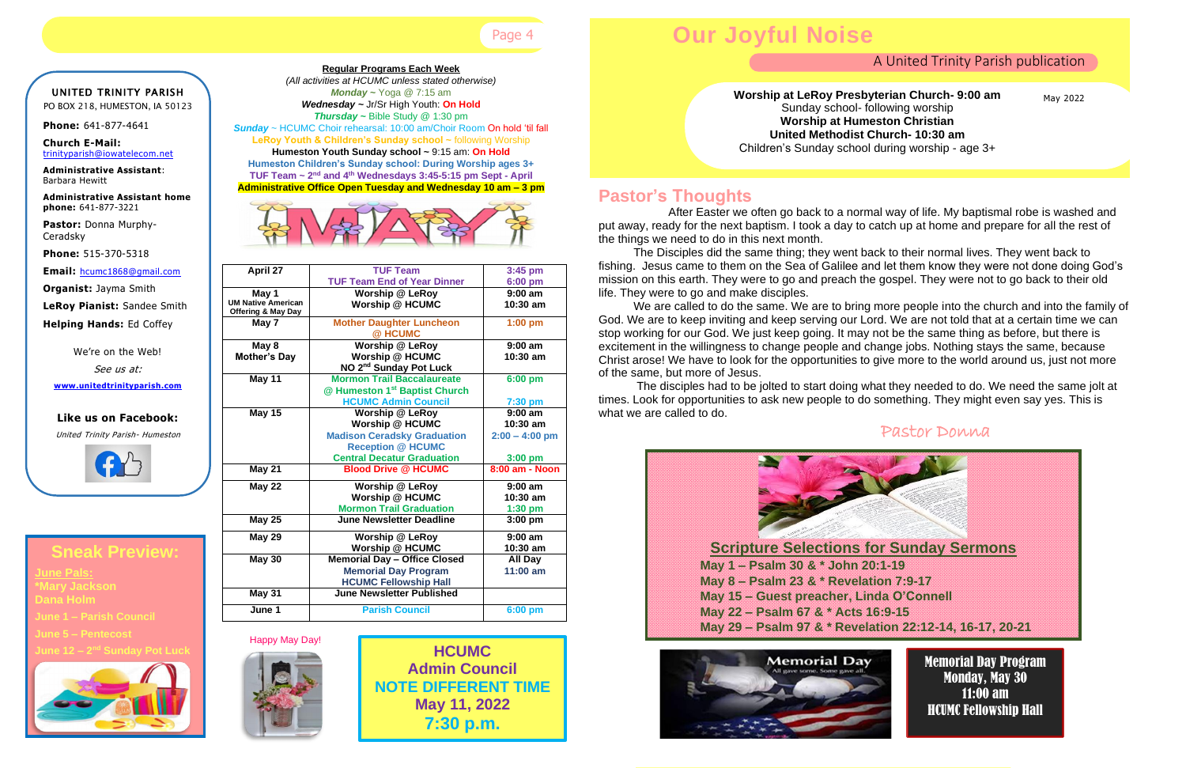| April 27                                                   | <b>TUF Team</b>                            | 3:45 pm          |
|------------------------------------------------------------|--------------------------------------------|------------------|
|                                                            | <b>TUF Team End of Year Dinner</b>         | 6:00 pm          |
| May 1                                                      | Worship @ LeRoy                            | $9:00$ am        |
| <b>UM Native American</b><br><b>Offering &amp; May Day</b> | <b>Worship @ HCUMC</b>                     | $10:30$ am       |
| May 7                                                      | <b>Mother Daughter Luncheon</b><br>@ HCUMC | $1:00$ pm        |
| May 8                                                      | <b>Worship @ LeRoy</b>                     | $9:00$ am        |
| <b>Mother's Day</b>                                        | <b>Worship @ HCUMC</b>                     | $10:30$ am       |
|                                                            | NO 2 <sup>nd</sup> Sunday Pot Luck         |                  |
| May 11                                                     | <b>Mormon Trail Baccalaureate</b>          | 6:00 pm          |
|                                                            | @ Humeston 1st Baptist Church              |                  |
|                                                            | <b>HCUMC Admin Council</b>                 | 7:30 pm          |
| <b>May 15</b>                                              | <b>Worship @ LeRoy</b>                     | $9:00$ am        |
|                                                            | <b>Worship @ HCUMC</b>                     | 10:30 am         |
|                                                            | <b>Madison Ceradsky Graduation</b>         | $2:00 - 4:00$ pm |
|                                                            | <b>Reception @ HCUMC</b>                   |                  |
|                                                            | <b>Central Decatur Graduation</b>          | 3:00 pm          |
| May 21                                                     | <b>Blood Drive @ HCUMC</b>                 | 8:00 am - Noon   |
| <b>May 22</b>                                              | <b>Worship @ LeRoy</b>                     | $9:00$ am        |
|                                                            | <b>Worship @ HCUMC</b>                     | 10:30 am         |
|                                                            | <b>Mormon Trail Graduation</b>             | $1:30$ pm        |
| <b>May 25</b>                                              | <b>June Newsletter Deadline</b>            | $3:00$ pm        |
| <b>May 29</b>                                              | <b>Worship @ LeRoy</b>                     | $9:00$ am        |
|                                                            | <b>Worship @ HCUMC</b>                     | 10:30 am         |
| <b>May 30</b>                                              | <b>Memorial Day - Office Closed</b>        | All Day          |
|                                                            | <b>Memorial Day Program</b>                | $11:00$ am       |
|                                                            | <b>HCUMC Fellowship Hall</b>               |                  |
| May 31                                                     | <b>June Newsletter Published</b>           |                  |
| June 1                                                     | <b>Parish Council</b>                      | 6:00 pm          |

May 2022

## A United Trinity Parish publication

# **Pastor's Thoughts**

After Easter we often go back to a normal way of life. My baptismal robe is washed and put away, ready for the next baptism. I took a day to catch up at home and prepare for all the rest of the things we need to do in this next month.

The Disciples did the same thing; they went back to their normal lives. They went back to fishing. Jesus came to them on the Sea of Galilee and let them know they were not done doing God's mission on this earth. They were to go and preach the gospel. They were not to go back to their old life. They were to go and make disciples.

We are called to do the same. We are to bring more people into the church and into the family of God. We are to keep inviting and keep serving our Lord. We are not told that at a certain time we can stop working for our God. We just keep going. It may not be the same thing as before, but there is excitement in the willingness to change people and change jobs. Nothing stays the same, because Christ arose! We have to look for the opportunities to give more to the world around us, just not more of the same, but more of Jesus.

**HCUMC Admin Council NOTE DIFFERENT TIME May 11, 2022 7:30 p.m.**

# Page 4 **Our Joyful Noise**

The disciples had to be jolted to start doing what they needed to do. We need the same jolt at times. Look for opportunities to ask new people to do something. They might even say yes. This is what we are called to do.

Pastor Donna

### UNITED TRINITY PARISH

PO BOX 218, HUMESTON, IA 50123

**Phone:** 641-877-4641

**Church E-Mail:**  [trinityparish@iowatelecom.net](mailto:trinityparish@iowatelecom.net)

**Administrative Assistant**: Barbara Hewitt

**Administrative Assistant home phone:** 641-877-3221

**Pastor:** Donna Murphy-Ceradsky

**Phone:** 515-370-5318

**Email:** hcumc1868@gmail.com

**Organist:** Jayma Smith

**LeRoy Pianist:** Sandee Smith

**Helping Hands:** Ed Coffey

We're on the Web! See us at:

**[www.unitedtrinityparish.com](http://www.unitedtrinityparish.com/)**

#### **Like us on Facebook:**

United Trinity Parish- Humeston



#### **Regular Programs Each Week**

*(All activities at HCUMC unless stated otherwise) Monday* **~** Yoga @ 7:15 am *Wednesday ~* Jr/Sr High Youth: **On Hold** *Thursday* **~** Bible Study @ 1:30 pm

*Sunday* ~ HCUMC Choir rehearsal: 10:00 am/Choir Room On hold 'til fall **LeRoy Youth & Children's Sunday school ~** following Worship

**Humeston Youth Sunday school ~** 9:15 am: **On Hold Humeston Children's Sunday school: During Worship ages 3+ TUF Team ~ 2 nd and 4th Wednesdays 3:45-5:15 pm Sept - April Administrative Office Open Tuesday and Wednesday 10 am – 3 pm**

**Worship at LeRoy Presbyterian Church- 9:00 am** Sunday school- following worship **Worship at Humeston Christian United Methodist Church- 10:30 am** Children's Sunday school during worship - age 3+





# **Sneak Preview:**

**June Pals: \*Mary Jackson Dana Holm June 1 – Parish Council June 5 – Pentecost**



Monday, May 30 11:00 am HCUMC Fellowship Hall

Happy May Day!